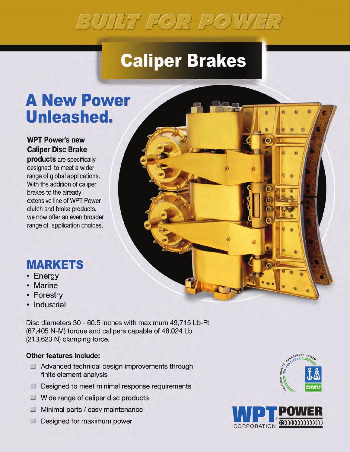# BUILT FOR POWER

## **Caliper Brakes**

### **A New Power Unleashed.**

#### **WPT Power's new Caliper Disc Brake**

products are specifically designed to meet a wider range of global applications. With the addition of caliper brakes to the already extensive line of WPT Power clutch and brake products, we now offer an even broader range of application choices.

### **MARKETS**

- Energy
- Marine
- Forestry
- Industrial

Disc diameters 30 - 60.5 inches with maximum 49,715 Lb-Ft (67,405 N-M) torque and calipers capable of 48,024 Lb (213,623 N) clamping force.

#### **Other features include:**

- $\perp$  Advanced technical design improvements through finite element analysis
- $\Box$  Designed to meet minimal response requirements
- $\Box$  Wide range of caliper disc products
- $\Box$  Minimal parts / easy maintenance
- $\Box$  Designed for maximum power